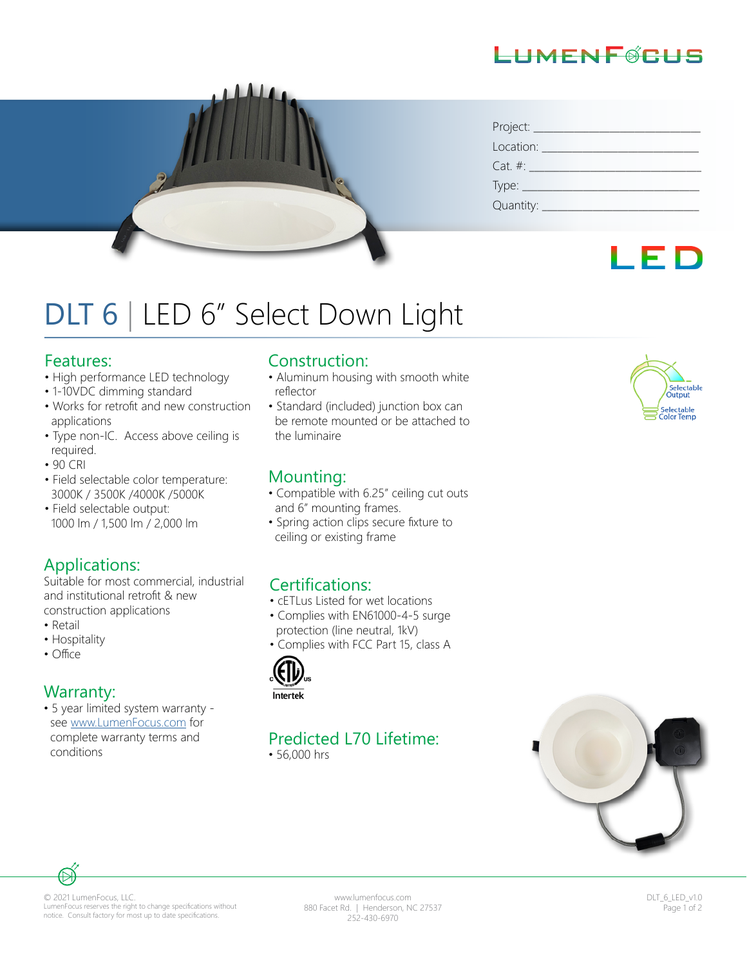## LIMENFØRLIS



| Project:    |
|-------------|
| Location:   |
| $Cat. \#:$  |
| Type: _     |
| Quantity: _ |

## I ED

# DLT 6 | LED 6" Select Down Light

#### Features:

- High performance LED technology
- 1-10VDC dimming standard
- Works for retrofit and new construction applications
- Type non-IC. Access above ceiling is required.
- 90 CRI
- Field selectable color temperature: 3000K / 3500K /4000K /5000K
- Field selectable output: 1000 lm / 1,500 lm / 2,000 lm

#### Applications:

Suitable for most commercial, industrial and institutional retrofit & new construction applications

- Retail
- Hospitality
- Office

#### Warranty:

• 5 year limited system warranty see www.LumenFocus.com for complete warranty terms and conditions

#### Construction:

- Aluminum housing with smooth white reflector
- Standard (included) junction box can be remote mounted or be attached to the luminaire

#### Mounting:

- Compatible with 6.25" ceiling cut outs and 6" mounting frames.
- Spring action clips secure fixture to ceiling or existing frame

#### Certifications:

- cETLus Listed for wet locations
- Complies with EN61000-4-5 surge protection (line neutral, 1kV)
- Complies with FCC Part 15, class A



## Predicted L70 Lifetime:

• 56,000 hrs





© 2021 LumenFocus, LLC. LumenFocus reserves the right to change specifications without notice. Consult factory for most up to date specifications.

www.lumenfocus.com 880 Facet Rd. | Henderson, NC 27537 252-430-6970

DLT\_6\_LED\_v1.0 Page 1 of 2